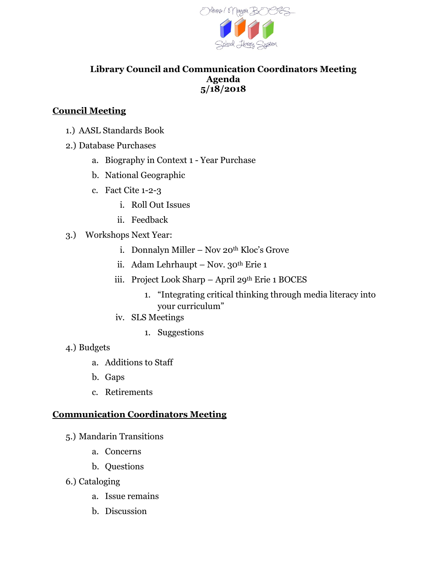

#### **Library Council and Communication Coordinators Meeting Agenda 5/18/2018**

### **Council Meeting**

- 1.) AASL Standards Book
- 2.) Database Purchases
	- a. Biography in Context 1 Year Purchase
	- b. National Geographic
	- c. Fact Cite 1-2-3
		- i. Roll Out Issues
		- ii. Feedback
- 3.) Workshops Next Year:
	- i. Donnalyn Miller Nov 20<sup>th</sup> Kloc's Grove
	- ii. Adam Lehrhaupt Nov.  $30<sup>th</sup>$  Erie 1
	- iii. Project Look Sharp April 29th Erie 1 BOCES
		- 1. "Integrating critical thinking through media literacy into your curriculum"
	- iv. SLS Meetings
		- 1. Suggestions

#### 4.) Budgets

- a. Additions to Staff
- b. Gaps
- c. Retirements

#### **Communication Coordinators Meeting**

- 5.) Mandarin Transitions
	- a. Concerns
	- b. Questions
- 6.) Cataloging
	- a. Issue remains
	- b. Discussion